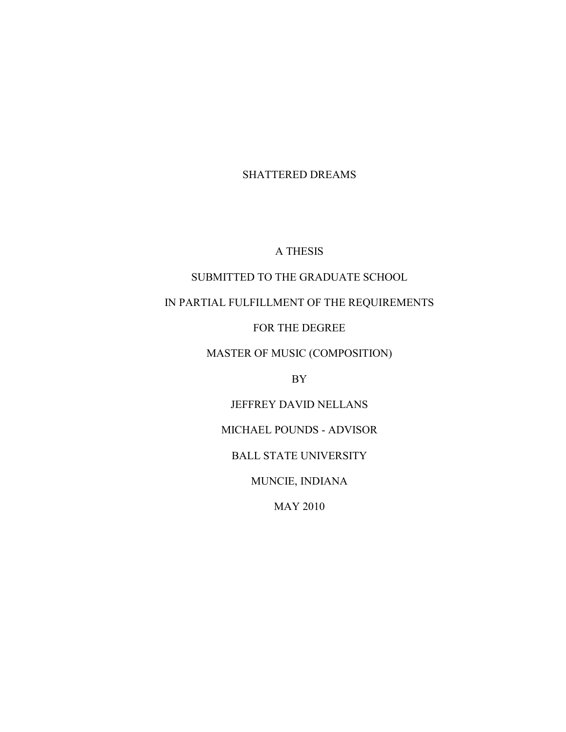SHATTERED DREAMS

### A THESIS

### SUBMITTED TO THE GRADUATE SCHOOL

# IN PARTIAL FULFILLMENT OF THE REQUIREMENTS

#### FOR THE DEGREE

## MASTER OF MUSIC (COMPOSITION)

BY

#### JEFFREY DAVID NELLANS

### MICHAEL POUNDS - ADVISOR

### BALL STATE UNIVERSITY

MUNCIE, INDIANA

MAY 2010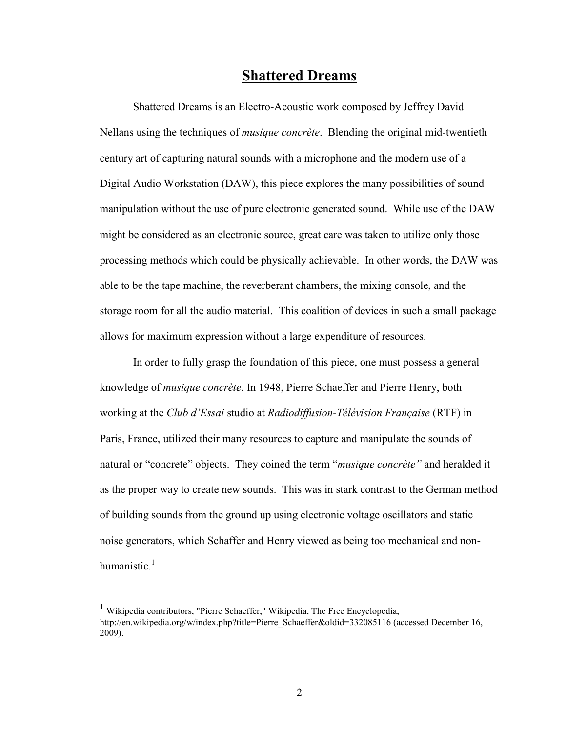# **Shattered Dreams**

Shattered Dreams is an Electro-Acoustic work composed by Jeffrey David Nellans using the techniques of *musique concrète*. Blending the original mid-twentieth century art of capturing natural sounds with a microphone and the modern use of a Digital Audio Workstation (DAW), this piece explores the many possibilities of sound manipulation without the use of pure electronic generated sound. While use of the DAW might be considered as an electronic source, great care was taken to utilize only those processing methods which could be physically achievable. In other words, the DAW was able to be the tape machine, the reverberant chambers, the mixing console, and the storage room for all the audio material. This coalition of devices in such a small package allows for maximum expression without a large expenditure of resources.

In order to fully grasp the foundation of this piece, one must possess a general knowledge of *musique concrète*. In 1948, Pierre Schaeffer and Pierre Henry, both working at the *Club d'Essai* studio at *Radiodiffusion-Télévision Française* (RTF) in Paris, France, utilized their many resources to capture and manipulate the sounds of natural or "concrete" objects. They coined the term "*musique concrète"* and heralded it as the proper way to create new sounds. This was in stark contrast to the German method of building sounds from the ground up using electronic voltage oscillators and static noise generators, which Schaffer and Henry viewed as being too mechanical and nonhumanistic.<sup>1</sup>

 $\overline{a}$ 

<sup>&</sup>lt;sup>1</sup> Wikipedia contributors, "Pierre Schaeffer," Wikipedia, The Free Encyclopedia, http://en.wikipedia.org/w/index.php?title=Pierre\_Schaeffer&oldid=332085116 (accessed December 16, 2009).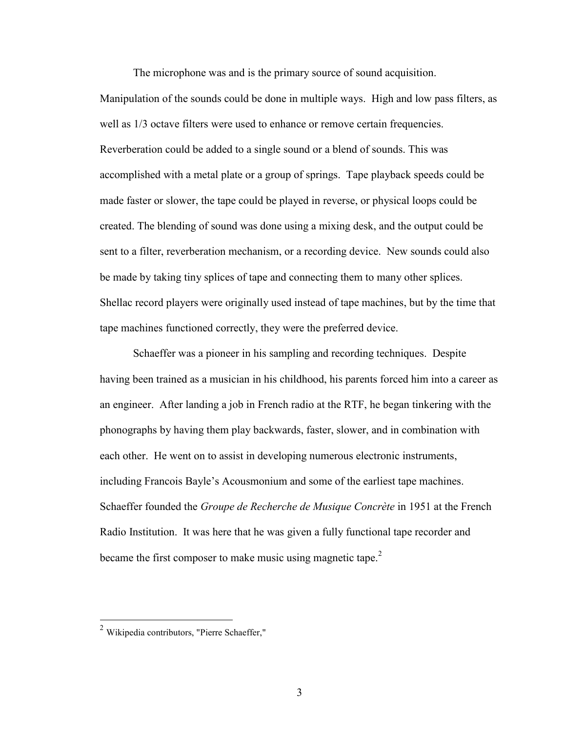The microphone was and is the primary source of sound acquisition.

Manipulation of the sounds could be done in multiple ways. High and low pass filters, as well as  $1/3$  octave filters were used to enhance or remove certain frequencies. Reverberation could be added to a single sound or a blend of sounds. This was accomplished with a metal plate or a group of springs. Tape playback speeds could be made faster or slower, the tape could be played in reverse, or physical loops could be created. The blending of sound was done using a mixing desk, and the output could be sent to a filter, reverberation mechanism, or a recording device. New sounds could also be made by taking tiny splices of tape and connecting them to many other splices. Shellac record players were originally used instead of tape machines, but by the time that tape machines functioned correctly, they were the preferred device.

Schaeffer was a pioneer in his sampling and recording techniques. Despite having been trained as a musician in his childhood, his parents forced him into a career as an engineer. After landing a job in French radio at the RTF, he began tinkering with the phonographs by having them play backwards, faster, slower, and in combination with each other. He went on to assist in developing numerous electronic instruments, including Francois Bayle's Acousmonium and some of the earliest tape machines. Schaeffer founded the *Groupe de Recherche de Musique Concrète* in 1951 at the French Radio Institution. It was here that he was given a fully functional tape recorder and became the first composer to make music using magnetic tape.<sup>2</sup>

 $\overline{a}$ 

 $2$  Wikipedia contributors, "Pierre Schaeffer,"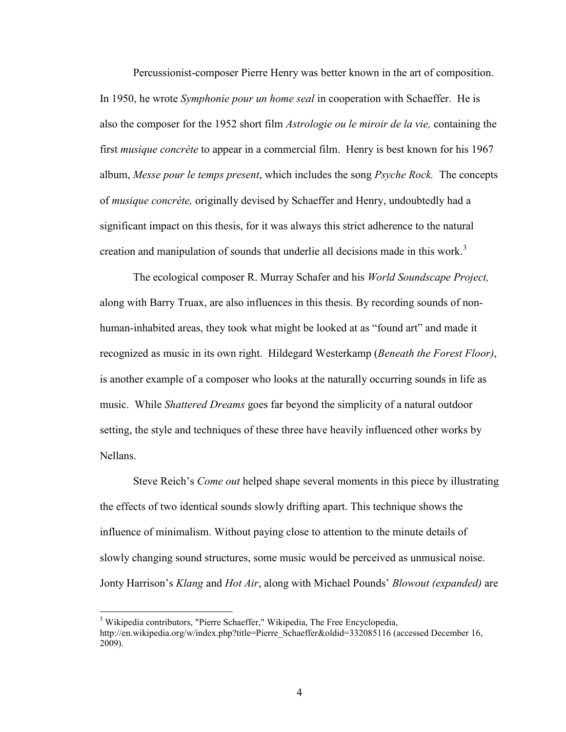Percussionist-composer Pierre Henry was better known in the art of composition. In 1950, he wrote *Symphonie pour un home seal* in cooperation with Schaeffer. He is also the composer for the 1952 short film *Astrologie ou le miroir de la vie,* containing the first *musique concrète* to appear in a commercial film. Henry is best known for his 1967 album, *Messe pour le temps present*, which includes the song *Psyche Rock.* The concepts of *musique concrète,* originally devised by Schaeffer and Henry, undoubtedly had a significant impact on this thesis, for it was always this strict adherence to the natural creation and manipulation of sounds that underlie all decisions made in this work.<sup>3</sup>

The ecological composer R. Murray Schafer and his *World Soundscape Project,* along with Barry Truax, are also influences in this thesis. By recording sounds of nonhuman-inhabited areas, they took what might be looked at as "found art" and made it recognized as music in its own right. Hildegard Westerkamp (*Beneath the Forest Floor)*, is another example of a composer who looks at the naturally occurring sounds in life as music. While *Shattered Dreams* goes far beyond the simplicity of a natural outdoor setting, the style and techniques of these three have heavily influenced other works by Nellans.

Steve Reich's *Come out* helped shape several moments in this piece by illustrating the effects of two identical sounds slowly drifting apart. This technique shows the influence of minimalism. Without paying close to attention to the minute details of slowly changing sound structures, some music would be perceived as unmusical noise. Jonty Harrison's *Klang* and *Hot Air*, along with Michael Pounds' *Blowout (expanded)* are

 $\overline{a}$ 

<sup>&</sup>lt;sup>3</sup> Wikipedia contributors, "Pierre Schaeffer," Wikipedia, The Free Encyclopedia, http://en.wikipedia.org/w/index.php?title=Pierre\_Schaeffer&oldid=332085116 (accessed December 16, 2009).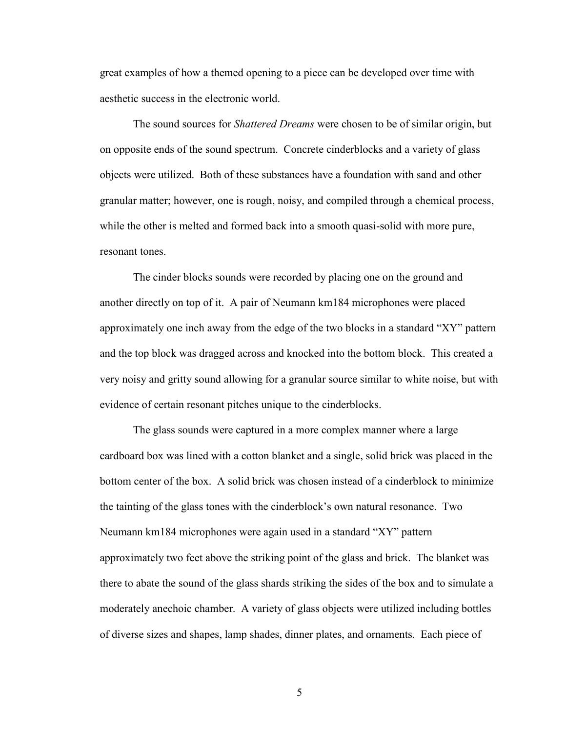great examples of how a themed opening to a piece can be developed over time with aesthetic success in the electronic world.

The sound sources for *Shattered Dreams* were chosen to be of similar origin, but on opposite ends of the sound spectrum. Concrete cinderblocks and a variety of glass objects were utilized. Both of these substances have a foundation with sand and other granular matter; however, one is rough, noisy, and compiled through a chemical process, while the other is melted and formed back into a smooth quasi-solid with more pure, resonant tones.

The cinder blocks sounds were recorded by placing one on the ground and another directly on top of it. A pair of Neumann km184 microphones were placed approximately one inch away from the edge of the two blocks in a standard "XY" pattern and the top block was dragged across and knocked into the bottom block. This created a very noisy and gritty sound allowing for a granular source similar to white noise, but with evidence of certain resonant pitches unique to the cinderblocks.

The glass sounds were captured in a more complex manner where a large cardboard box was lined with a cotton blanket and a single, solid brick was placed in the bottom center of the box. A solid brick was chosen instead of a cinderblock to minimize the tainting of the glass tones with the cinderblock's own natural resonance. Two Neumann km184 microphones were again used in a standard "XY" pattern approximately two feet above the striking point of the glass and brick. The blanket was there to abate the sound of the glass shards striking the sides of the box and to simulate a moderately anechoic chamber. A variety of glass objects were utilized including bottles of diverse sizes and shapes, lamp shades, dinner plates, and ornaments. Each piece of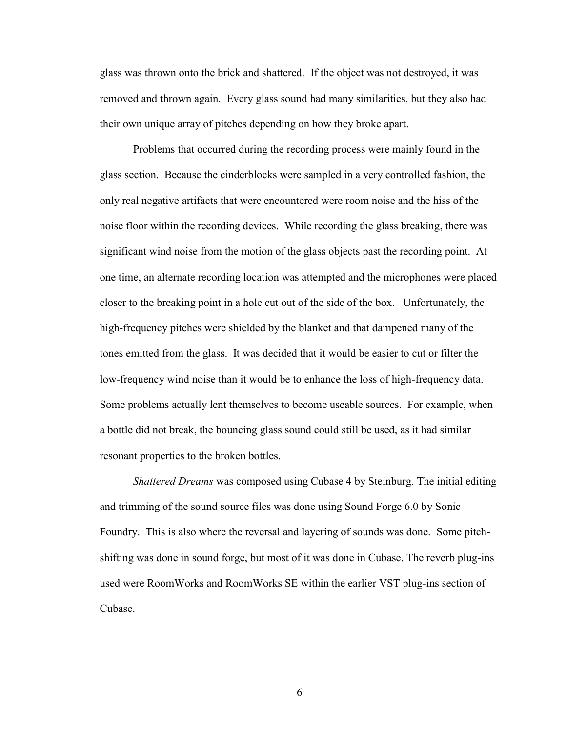glass was thrown onto the brick and shattered. If the object was not destroyed, it was removed and thrown again. Every glass sound had many similarities, but they also had their own unique array of pitches depending on how they broke apart.

Problems that occurred during the recording process were mainly found in the glass section. Because the cinderblocks were sampled in a very controlled fashion, the only real negative artifacts that were encountered were room noise and the hiss of the noise floor within the recording devices. While recording the glass breaking, there was significant wind noise from the motion of the glass objects past the recording point. At one time, an alternate recording location was attempted and the microphones were placed closer to the breaking point in a hole cut out of the side of the box. Unfortunately, the high-frequency pitches were shielded by the blanket and that dampened many of the tones emitted from the glass. It was decided that it would be easier to cut or filter the low-frequency wind noise than it would be to enhance the loss of high-frequency data. Some problems actually lent themselves to become useable sources. For example, when a bottle did not break, the bouncing glass sound could still be used, as it had similar resonant properties to the broken bottles.

*Shattered Dreams* was composed using Cubase 4 by Steinburg. The initial editing and trimming of the sound source files was done using Sound Forge 6.0 by Sonic Foundry. This is also where the reversal and layering of sounds was done. Some pitchshifting was done in sound forge, but most of it was done in Cubase. The reverb plug-ins used were RoomWorks and RoomWorks SE within the earlier VST plug-ins section of Cubase.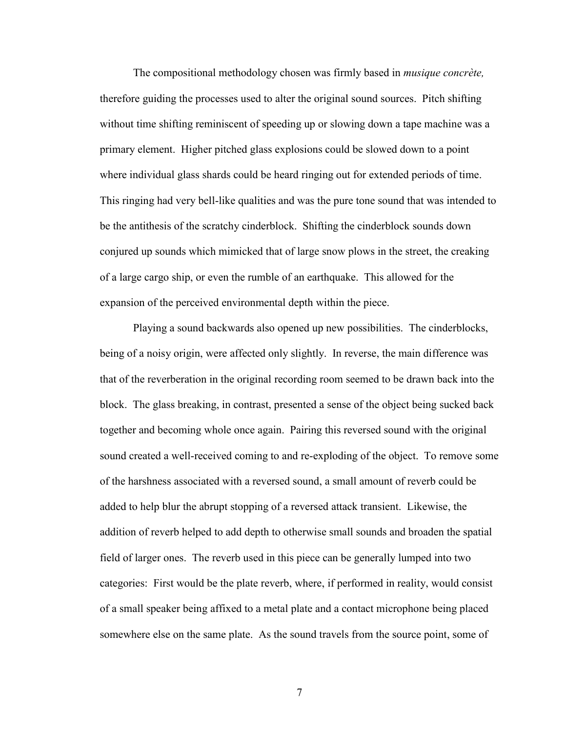The compositional methodology chosen was firmly based in *musique concrète,* therefore guiding the processes used to alter the original sound sources. Pitch shifting without time shifting reminiscent of speeding up or slowing down a tape machine was a primary element. Higher pitched glass explosions could be slowed down to a point where individual glass shards could be heard ringing out for extended periods of time. This ringing had very bell-like qualities and was the pure tone sound that was intended to be the antithesis of the scratchy cinderblock. Shifting the cinderblock sounds down conjured up sounds which mimicked that of large snow plows in the street, the creaking of a large cargo ship, or even the rumble of an earthquake. This allowed for the expansion of the perceived environmental depth within the piece.

Playing a sound backwards also opened up new possibilities. The cinderblocks, being of a noisy origin, were affected only slightly. In reverse, the main difference was that of the reverberation in the original recording room seemed to be drawn back into the block. The glass breaking, in contrast, presented a sense of the object being sucked back together and becoming whole once again. Pairing this reversed sound with the original sound created a well-received coming to and re-exploding of the object. To remove some of the harshness associated with a reversed sound, a small amount of reverb could be added to help blur the abrupt stopping of a reversed attack transient. Likewise, the addition of reverb helped to add depth to otherwise small sounds and broaden the spatial field of larger ones. The reverb used in this piece can be generally lumped into two categories: First would be the plate reverb, where, if performed in reality, would consist of a small speaker being affixed to a metal plate and a contact microphone being placed somewhere else on the same plate. As the sound travels from the source point, some of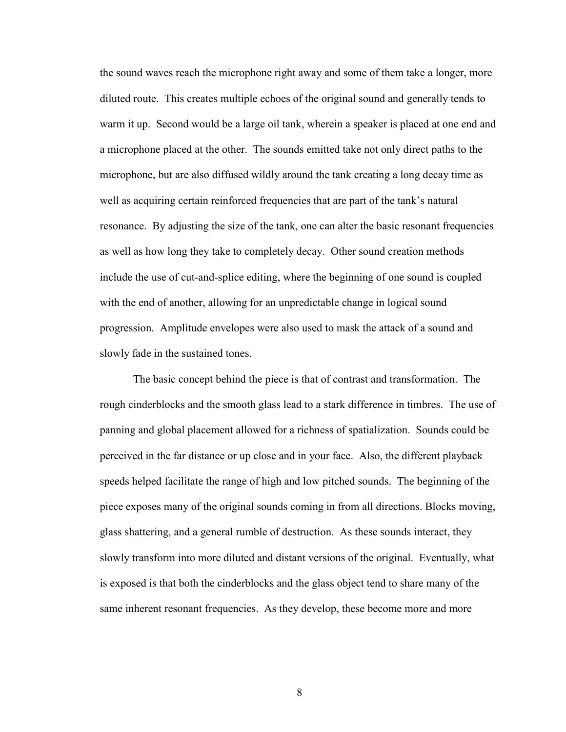the sound waves reach the microphone right away and some of them take a longer, more diluted route. This creates multiple echoes of the original sound and generally tends to warm it up. Second would be a large oil tank, wherein a speaker is placed at one end and a microphone placed at the other. The sounds emitted take not only direct paths to the microphone, but are also diffused wildly around the tank creating a long decay time as well as acquiring certain reinforced frequencies that are part of the tank's natural resonance. By adjusting the size of the tank, one can alter the basic resonant frequencies as well as how long they take to completely decay. Other sound creation methods include the use of cut-and-splice editing, where the beginning of one sound is coupled with the end of another, allowing for an unpredictable change in logical sound progression. Amplitude envelopes were also used to mask the attack of a sound and slowly fade in the sustained tones.

The basic concept behind the piece is that of contrast and transformation. The rough cinderblocks and the smooth glass lead to a stark difference in timbres. The use of panning and global placement allowed for a richness of spatialization. Sounds could be perceived in the far distance or up close and in your face. Also, the different playback speeds helped facilitate the range of high and low pitched sounds. The beginning of the piece exposes many of the original sounds coming in from all directions. Blocks moving, glass shattering, and a general rumble of destruction. As these sounds interact, they slowly transform into more diluted and distant versions of the original. Eventually, what is exposed is that both the cinderblocks and the glass object tend to share many of the same inherent resonant frequencies. As they develop, these become more and more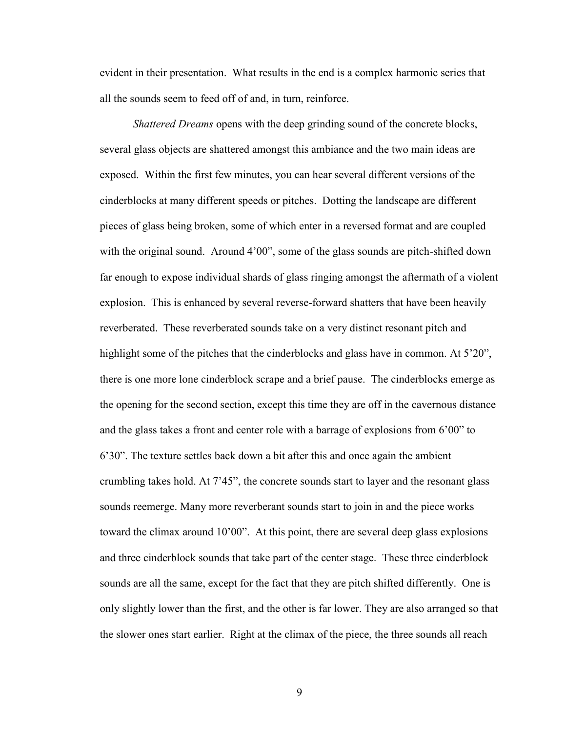evident in their presentation. What results in the end is a complex harmonic series that all the sounds seem to feed off of and, in turn, reinforce.

*Shattered Dreams* opens with the deep grinding sound of the concrete blocks, several glass objects are shattered amongst this ambiance and the two main ideas are exposed. Within the first few minutes, you can hear several different versions of the cinderblocks at many different speeds or pitches. Dotting the landscape are different pieces of glass being broken, some of which enter in a reversed format and are coupled with the original sound. Around 4'00", some of the glass sounds are pitch-shifted down far enough to expose individual shards of glass ringing amongst the aftermath of a violent explosion. This is enhanced by several reverse-forward shatters that have been heavily reverberated. These reverberated sounds take on a very distinct resonant pitch and highlight some of the pitches that the cinderblocks and glass have in common. At 5'20", there is one more lone cinderblock scrape and a brief pause. The cinderblocks emerge as the opening for the second section, except this time they are off in the cavernous distance and the glass takes a front and center role with a barrage of explosions from 6'00" to 6'30". The texture settles back down a bit after this and once again the ambient crumbling takes hold. At 7'45", the concrete sounds start to layer and the resonant glass sounds reemerge. Many more reverberant sounds start to join in and the piece works toward the climax around 10'00". At this point, there are several deep glass explosions and three cinderblock sounds that take part of the center stage. These three cinderblock sounds are all the same, except for the fact that they are pitch shifted differently. One is only slightly lower than the first, and the other is far lower. They are also arranged so that the slower ones start earlier. Right at the climax of the piece, the three sounds all reach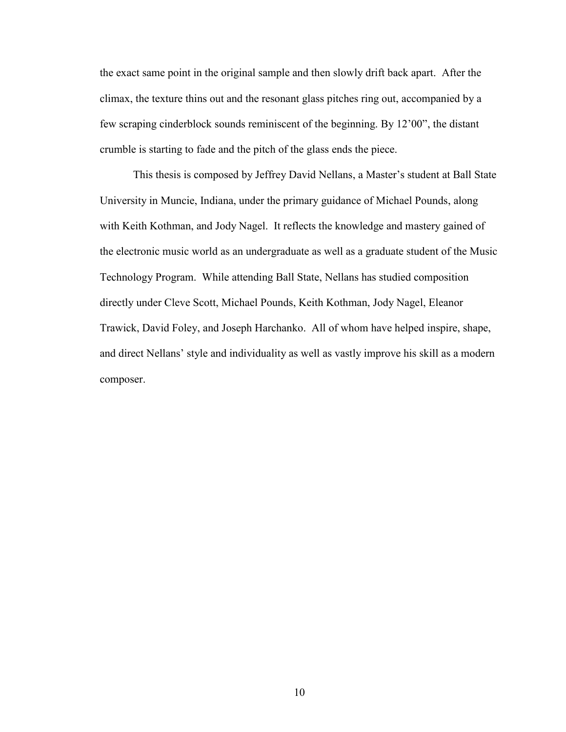the exact same point in the original sample and then slowly drift back apart. After the climax, the texture thins out and the resonant glass pitches ring out, accompanied by a few scraping cinderblock sounds reminiscent of the beginning. By 12'00", the distant crumble is starting to fade and the pitch of the glass ends the piece.

This thesis is composed by Jeffrey David Nellans, a Master's student at Ball State University in Muncie, Indiana, under the primary guidance of Michael Pounds, along with Keith Kothman, and Jody Nagel. It reflects the knowledge and mastery gained of the electronic music world as an undergraduate as well as a graduate student of the Music Technology Program. While attending Ball State, Nellans has studied composition directly under Cleve Scott, Michael Pounds, Keith Kothman, Jody Nagel, Eleanor Trawick, David Foley, and Joseph Harchanko. All of whom have helped inspire, shape, and direct Nellans' style and individuality as well as vastly improve his skill as a modern composer.